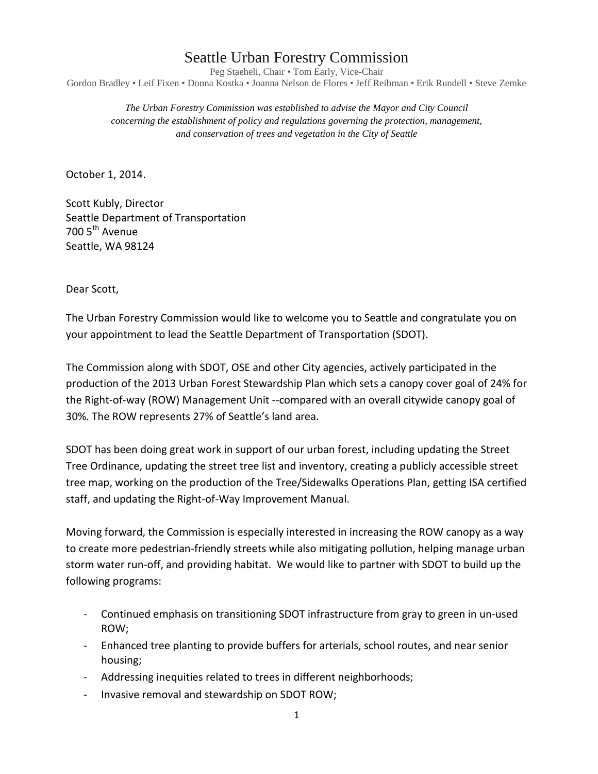## Seattle Urban Forestry Commission

Peg Staeheli, Chair • Tom Early, Vice-Chair Gordon Bradley • Leif Fixen • Donna Kostka • Joanna Nelson de Flores • Jeff Reibman • Erik Rundell • Steve Zemke

*The Urban Forestry Commission was established to advise the Mayor and City Council concerning the establishment of policy and regulations governing the protection, management, and conservation of trees and vegetation in the City of Seattle* 

October 1, 2014.

Scott Kubly, Director Seattle Department of Transportation 700 5<sup>th</sup> Avenue Seattle, WA 98124

Dear Scott,

The Urban Forestry Commission would like to welcome you to Seattle and congratulate you on your appointment to lead the Seattle Department of Transportation (SDOT).

The Commission along with SDOT, OSE and other City agencies, actively participated in the production of the 2013 Urban Forest Stewardship Plan which sets a canopy cover goal of 24% for the Right-of-way (ROW) Management Unit --compared with an overall citywide canopy goal of 30%. The ROW represents 27% of Seattle's land area.

SDOT has been doing great work in support of our urban forest, including updating the Street Tree Ordinance, updating the street tree list and inventory, creating a publicly accessible street tree map, working on the production of the Tree/Sidewalks Operations Plan, getting ISA certified staff, and updating the Right-of-Way Improvement Manual.

Moving forward, the Commission is especially interested in increasing the ROW canopy as a way to create more pedestrian-friendly streets while also mitigating pollution, helping manage urban storm water run-off, and providing habitat. We would like to partner with SDOT to build up the following programs:

- Continued emphasis on transitioning SDOT infrastructure from gray to green in un-used ROW;
- Enhanced tree planting to provide buffers for arterials, school routes, and near senior housing;
- Addressing inequities related to trees in different neighborhoods;
- Invasive removal and stewardship on SDOT ROW;